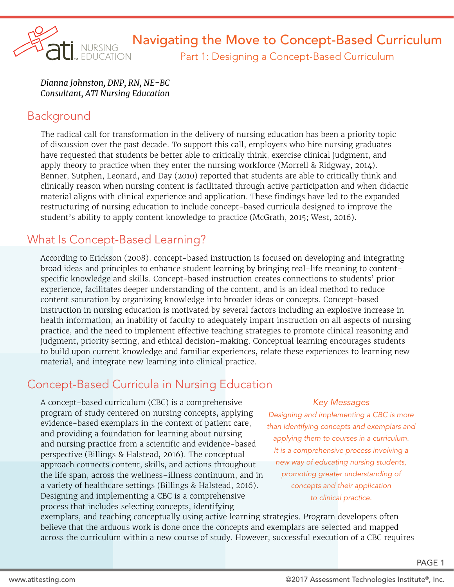

*Dianna Johnston, DNP, RN, NE-BC Consultant, ATI Nursing Education*

#### Background

The radical call for transformation in the delivery of nursing education has been a priority topic of discussion over the past decade. To support this call, employers who hire nursing graduates have requested that students be better able to critically think, exercise clinical judgment, and apply theory to practice when they enter the nursing workforce (Morrell & Ridgway, 2014). Benner, Sutphen, Leonard, and Day (2010) reported that students are able to critically think and clinically reason when nursing content is facilitated through active participation and when didactic material aligns with clinical experience and application. These findings have led to the expanded restructuring of nursing education to include concept-based curricula designed to improve the student's ability to apply content knowledge to practice (McGrath, 2015; West, 2016).

# What Is Concept-Based Learning?

According to Erickson (2008), concept-based instruction is focused on developing and integrating broad ideas and principles to enhance student learning by bringing real-life meaning to contentspecific knowledge and skills. Concept-based instruction creates connections to students' prior experience, facilitates deeper understanding of the content, and is an ideal method to reduce content saturation by organizing knowledge into broader ideas or concepts. Concept-based instruction in nursing education is motivated by several factors including an explosive increase in health information, an inability of faculty to adequately impart instruction on all aspects of nursing practice, and the need to implement effective teaching strategies to promote clinical reasoning and judgment, priority setting, and ethical decision-making. Conceptual learning encourages students to build upon current knowledge and familiar experiences, relate these experiences to learning new material, and integrate new learning into clinical practice.

# Concept-Based Curricula in Nursing Education

A concept-based curriculum (CBC) is a comprehensive program of study centered on nursing concepts, applying evidence-based exemplars in the context of patient care, and providing a foundation for learning about nursing and nursing practice from a scientific and evidence-based perspective (Billings & Halstead, 2016). The conceptual approach connects content, skills, and actions throughout the life span, across the wellness–illness continuum, and in a variety of healthcare settings (Billings & Halstead, 2016). Designing and implementing a CBC is a comprehensive process that includes selecting concepts, identifying

#### *Key Messages*

*Designing and implementing a CBC is more than identifying concepts and exemplars and applying them to courses in a curriculum. It is a comprehensive process involving a new way of educating nursing students, promoting greater understanding of concepts and their application to clinical practice.*

exemplars, and teaching conceptually using active learning strategies. Program developers often believe that the arduous work is done once the concepts and exemplars are selected and mapped across the curriculum within a new course of study. However, successful execution of a CBC requires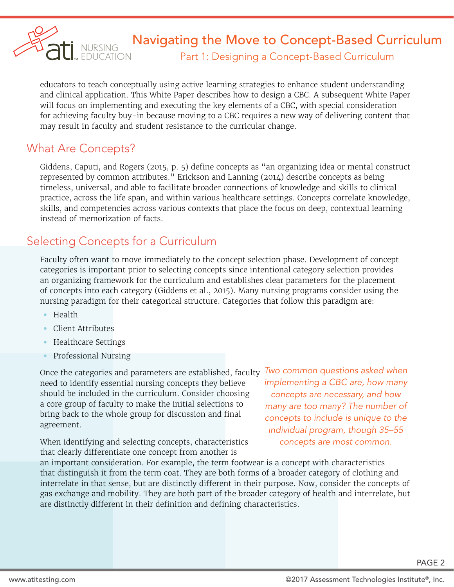

# **SALI NURSING** Mavigating the Move to Concept-Based Curriculum

Part 1: Designing a Concept-Based Curriculum

educators to teach conceptually using active learning strategies to enhance student understanding and clinical application. This White Paper describes how to design a CBC. A subsequent White Paper will focus on implementing and executing the key elements of a CBC, with special consideration for achieving faculty buy-in because moving to a CBC requires a new way of delivering content that may result in faculty and student resistance to the curricular change.

#### What Are Concepts?

Giddens, Caputi, and Rogers (2015, p. 5) define concepts as "an organizing idea or mental construct represented by common attributes." Erickson and Lanning (2014) describe concepts as being timeless, universal, and able to facilitate broader connections of knowledge and skills to clinical practice, across the life span, and within various healthcare settings. Concepts correlate knowledge, skills, and competencies across various contexts that place the focus on deep, contextual learning instead of memorization of facts.

### Selecting Concepts for a Curriculum

Faculty often want to move immediately to the concept selection phase. Development of concept categories is important prior to selecting concepts since intentional category selection provides an organizing framework for the curriculum and establishes clear parameters for the placement of concepts into each category (Giddens et al., 2015). Many nursing programs consider using the nursing paradigm for their categorical structure. Categories that follow this paradigm are:

- Health
- Client Attributes
- Healthcare Settings
- Professional Nursing

Once the categories and parameters are established, faculty need to identify essential nursing concepts they believe should be included in the curriculum. Consider choosing a core group of faculty to make the initial selections to bring back to the whole group for discussion and final agreement.

When identifying and selecting concepts, characteristics that clearly differentiate one concept from another is

*Two common questions asked when implementing a CBC are, how many concepts are necessary, and how many are too many? The number of concepts to include is unique to the individual program, though 35–55 concepts are most common.* 

an important consideration. For example, the term footwear is a concept with characteristics that distinguish it from the term coat. They are both forms of a broader category of clothing and interrelate in that sense, but are distinctly different in their purpose. Now, consider the concepts of gas exchange and mobility. They are both part of the broader category of health and interrelate, but are distinctly different in their definition and defining characteristics.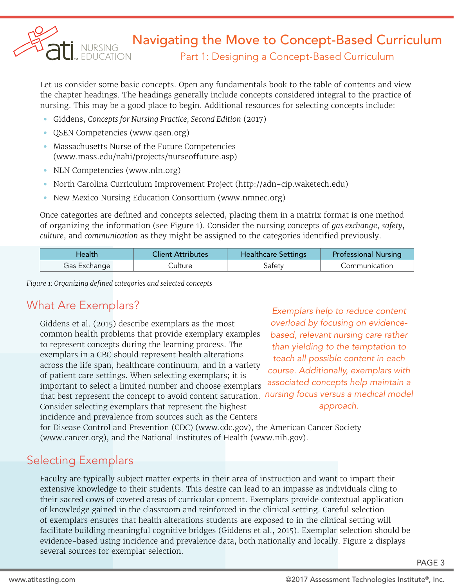

### Navigating the Move to Concept-Based Curriculum

Part 1: Designing a Concept-Based Curriculum

Let us consider some basic concepts. Open any fundamentals book to the table of contents and view the chapter headings. The headings generally include concepts considered integral to the practice of nursing. This may be a good place to begin. Additional resources for selecting concepts include:

- Giddens, *Concepts for Nursing Practice, Second Edition* (2017)
- QSEN Competencies (www.qsen.org)
- Massachusetts Nurse of the Future Competencies (www.mass.edu/nahi/projects/nurseoffuture.asp)
- NLN Competencies (www.nln.org)
- North Carolina Curriculum Improvement Project (http://adn-cip.waketech.edu)
- New Mexico Nursing Education Consortium (www.nmnec.org)

Once categories are defined and concepts selected, placing them in a matrix format is one method of organizing the information (see Figure 1). Consider the nursing concepts of *gas exchange*, *safety*, *culture*, and *communication* as they might be assigned to the categories identified previously.

| tealth       | <b>Client Attributes</b> | <b>Healthcare Settings</b> | <b>Professional Nursing</b> |
|--------------|--------------------------|----------------------------|-----------------------------|
| Gas Exchange | ulture                   |                            | Communication               |

*Figure 1: Organizing defined categories and selected concepts*

#### What Are Exemplars?

Giddens et al. (2015) describe exemplars as the most common health problems that provide exemplary examples to represent concepts during the learning process. The exemplars in a CBC should represent health alterations across the life span, healthcare continuum, and in a variety of patient care settings. When selecting exemplars; it is important to select a limited number and choose exemplars that best represent the concept to avoid content saturation. Consider selecting exemplars that represent the highest incidence and prevalence from sources such as the Centers

*Exemplars help to reduce content overload by focusing on evidencebased, relevant nursing care rather than yielding to the temptation to teach all possible content in each course. Additionally, exemplars with associated concepts help maintain a nursing focus versus a medical model approach.* 

for Disease Control and Prevention (CDC) (www.cdc.gov), the American Cancer Society (www.cancer.org), and the National Institutes of Health (www.nih.gov).

#### Selecting Exemplars

Faculty are typically subject matter experts in their area of instruction and want to impart their extensive knowledge to their students. This desire can lead to an impasse as individuals cling to their sacred cows of coveted areas of curricular content. Exemplars provide contextual application of knowledge gained in the classroom and reinforced in the clinical setting. Careful selection of exemplars ensures that health alterations students are exposed to in the clinical setting will facilitate building meaningful cognitive bridges (Giddens et al., 2015). Exemplar selection should be evidence-based using incidence and prevalence data, both nationally and locally. Figure 2 displays several sources for exemplar selection.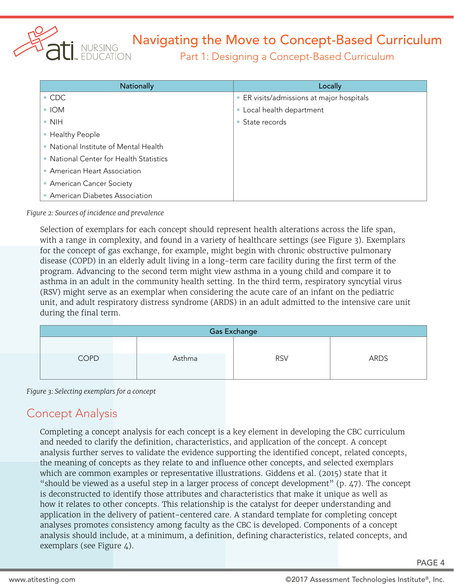

# Navigating the Move to Concept-Based Curriculum

Part 1: Designing a Concept-Based Curriculum

| Nationally                              | Locally                                   |  |
|-----------------------------------------|-------------------------------------------|--|
| $\bullet$ CDC                           | • ER visits/admissions at major hospitals |  |
| $\bullet$ IOM                           | Local health department                   |  |
| $\bullet$ NIH                           | • State records                           |  |
| • Healthy People                        |                                           |  |
| • National Institute of Mental Health   |                                           |  |
| • National Center for Health Statistics |                                           |  |
| • American Heart Association            |                                           |  |
| • American Cancer Society               |                                           |  |
| • American Diabetes Association         |                                           |  |

*Figure 2: Sources of incidence and prevalence*

Selection of exemplars for each concept should represent health alterations across the life span, with a range in complexity, and found in a variety of healthcare settings (see Figure 3). Exemplars for the concept of gas exchange, for example, might begin with chronic obstructive pulmonary disease (COPD) in an elderly adult living in a long-term care facility during the first term of the program. Advancing to the second term might view asthma in a young child and compare it to asthma in an adult in the community health setting. In the third term, respiratory syncytial virus (RSV) might serve as an exemplar when considering the acute care of an infant on the pediatric unit, and adult respiratory distress syndrome (ARDS) in an adult admitted to the intensive care unit during the final term.

| <b>Gas Exchange</b> |  |        |            |      |  |
|---------------------|--|--------|------------|------|--|
| <b>COPD</b>         |  | Asthma | <b>RSV</b> | ARDS |  |
|                     |  |        |            |      |  |

*Figure 3: Selecting exemplars for a concept*

#### Concept Analysis

Completing a concept analysis for each concept is a key element in developing the CBC curriculum and needed to clarify the definition, characteristics, and application of the concept. A concept analysis further serves to validate the evidence supporting the identified concept, related concepts, the meaning of concepts as they relate to and influence other concepts, and selected exemplars which are common examples or representative illustrations. Giddens et al. (2015) state that it "should be viewed as a useful step in a larger process of concept development" (p.  $47$ ). The concept is deconstructed to identify those attributes and characteristics that make it unique as well as how it relates to other concepts. This relationship is the catalyst for deeper understanding and application in the delivery of patient-centered care. A standard template for completing concept analyses promotes consistency among faculty as the CBC is developed. Components of a concept analysis should include, at a minimum, a definition, defining characteristics, related concepts, and exemplars (see Figure 4).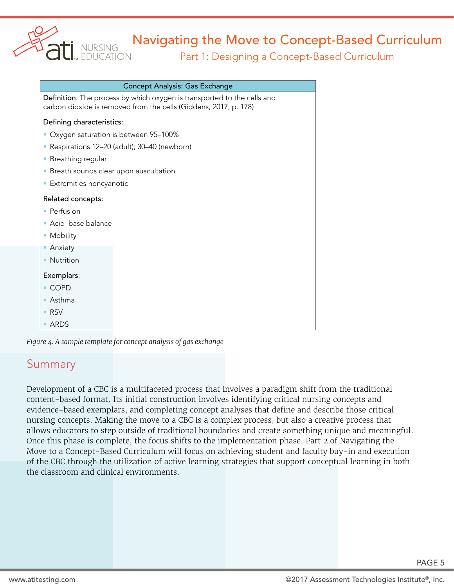

# Navigating the Move to Concept-Based Curriculum

#### Part 1: Designing a Concept-Based Curriculum

| <b>Concept Analysis: Gas Exchange</b>                                                                                                       |                                             |  |  |
|---------------------------------------------------------------------------------------------------------------------------------------------|---------------------------------------------|--|--|
| Definition: The process by which oxygen is transported to the cells and<br>carbon dioxide is removed from the cells (Giddens, 2017, p. 178) |                                             |  |  |
| Defining characteristics:                                                                                                                   |                                             |  |  |
| Oxygen saturation is between 95-100%                                                                                                        |                                             |  |  |
| $\bullet$                                                                                                                                   | Respirations 12-20 (adult); 30-40 (newborn) |  |  |
| Breathing regular<br>$\bullet$                                                                                                              |                                             |  |  |
| Breath sounds clear upon auscultation<br>$\bullet$                                                                                          |                                             |  |  |
| Extremities noncyanotic<br>$\bullet$                                                                                                        |                                             |  |  |
| Related concepts:                                                                                                                           |                                             |  |  |
| • Perfusion                                                                                                                                 |                                             |  |  |
| Acid-base balance<br>$\bullet$                                                                                                              |                                             |  |  |
| Mobility<br>$\bullet$                                                                                                                       |                                             |  |  |
| Anxiety<br>$\bullet$                                                                                                                        |                                             |  |  |
| <b>Nutrition</b>                                                                                                                            |                                             |  |  |
| Exemplars:                                                                                                                                  |                                             |  |  |
| <b>COPD</b>                                                                                                                                 |                                             |  |  |
| Asthma                                                                                                                                      |                                             |  |  |
| <b>RSV</b>                                                                                                                                  |                                             |  |  |
| ARDS                                                                                                                                        |                                             |  |  |

*Figure 4: A sample template for concept analysis of gas exchange*

#### Summary

Development of a CBC is a multifaceted process that involves a paradigm shift from the traditional content-based format. Its initial construction involves identifying critical nursing concepts and evidence-based exemplars, and completing concept analyses that define and describe those critical nursing concepts. Making the move to a CBC is a complex process, but also a creative process that allows educators to step outside of traditional boundaries and create something unique and meaningful. Once this phase is complete, the focus shifts to the implementation phase. Part 2 of Navigating the Move to a Concept-Based Curriculum will focus on achieving student and faculty buy-in and execution of the CBC through the utilization of active learning strategies that support conceptual learning in both the classroom and clinical environments.